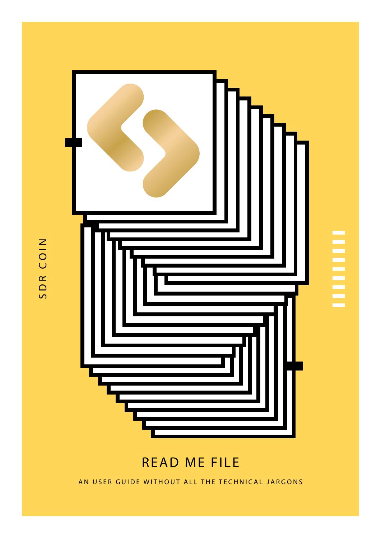

## READ ME FILE

AN USER GUIDE WITHOUT ALL THE TECHNICAL JARGONS

SDR COIN SDR COIN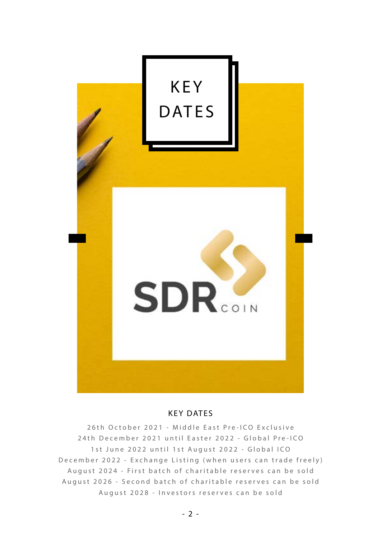

#### KEY DATES

26th October 2021 - Middle East Pre-ICO Exclusive 24th December 2021 until Easter 2022 - Global Pre-ICO 1st June 2022 until 1st August 2022 - Global ICO December 2022 - Exchange Listing (when users can trade freely) August 2024 - First batch of charitable reserves can be sold August 2026 - Second batch of charitable reserves can be sold August 2028 - Investors reserves can be sold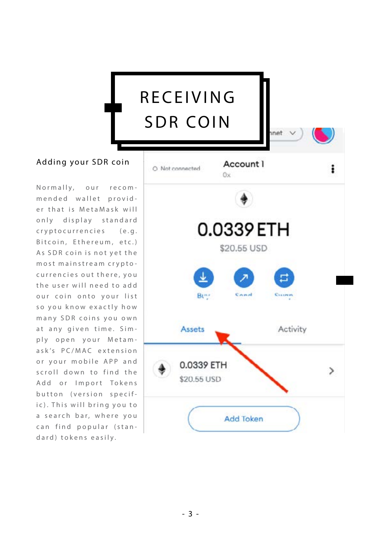# RECEIVING SDR COIN

### Adding your SDR coin

Normally, our recom mended wallet provid er that is MetaMask will only display standard cryptocurrencies (e.g. Bitcoin, Ethereum, etc.) As SDR coin is not yet the most mainstream crypto currencies out there, you the user will need to add our coin onto your list so you know exactly how many SDR coins you own at any given time. Sim ply open your Metam ask's PC/MAC extension or your mobile APP and scroll down to find the Add or Import Tokens button (version specific). This will bring you to a search bar, where you can find popular (stan dard) tokens easily.

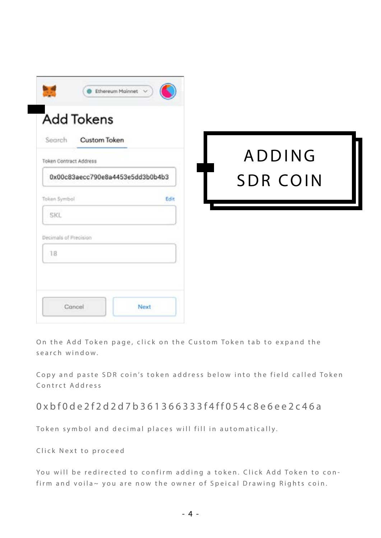| Search Custom Token<br>Token Contract Address |      | <b>ADDING</b>   |  |
|-----------------------------------------------|------|-----------------|--|
| 0x00c83aecc790e8a4453e5dd3b0b4b3              |      | <b>SDR COIN</b> |  |
| Token Symbol                                  | Edit |                 |  |
| <b>SKL</b>                                    |      |                 |  |
| Decimals of Precision                         |      |                 |  |
| 18                                            |      |                 |  |

On the Add Token page, click on the Custom Token tab to expand the search window.

Copy and paste SDR coin's token address below into the field called Token Contrct Address

0xbf0de2f2d2d7b361366333f4ff054c8e6ee2c46a

Token symbol and decimal places will fill in automatically.

Click Next to proceed

You will be redirected to confirm adding a token. Click Add Token to confirm and voila~ you are now the owner of Speical Drawing Rights coin.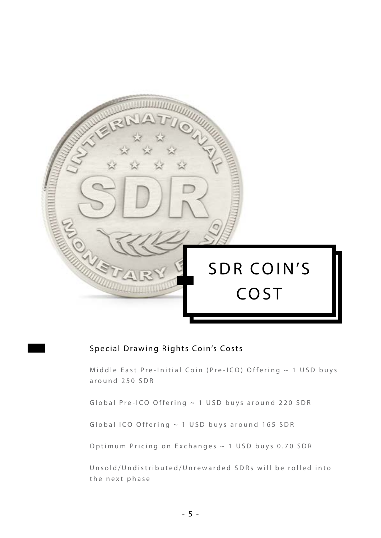

### Special Drawing Rights Coin's Costs

Middle East Pre-Initial Coin (Pre-ICO) Offering  $\sim$  1 USD buys around 250 SDR

Global Pre-ICO Offering ~ 1 USD buys around 220 SDR

Global ICO Offering  $\sim$  1 USD buys around 165 SDR

Optimum Pricing on Exchanges ~ 1 USD buys 0.70 SDR

Unsold/Undistributed/Unrewarded SDRs will be rolled into the next phase